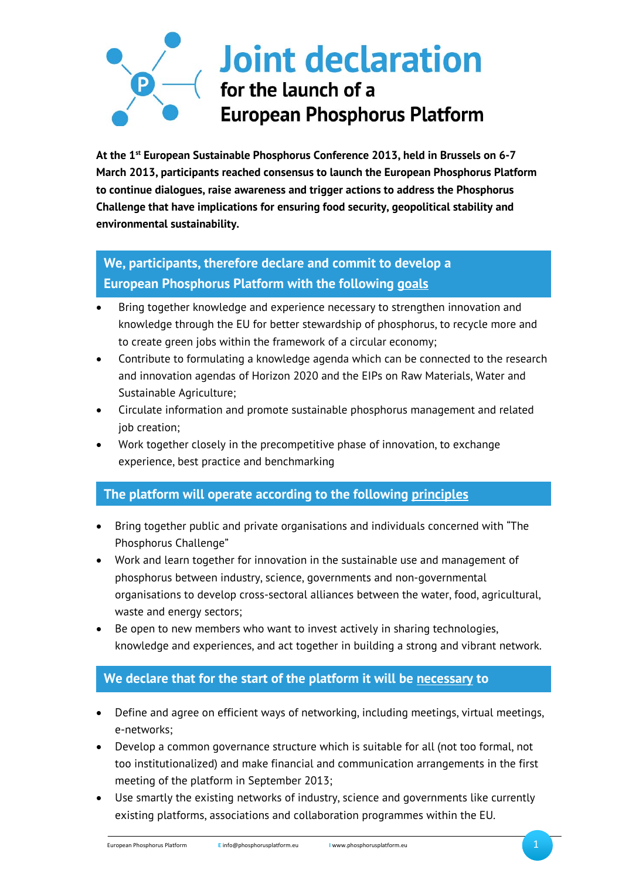# **Joint declaration** for the launch of a **European Phosphorus Platform**

**At the 1st European Sustainable Phosphorus Conference 2013, held in Brussels on 6-7 March 2013, participants reached consensus to launch the European Phosphorus Platform to continue dialogues, raise awareness and trigger actions to address the Phosphorus Challenge that have implications for ensuring food security, geopolitical stability and environmental sustainability.** 

## **We, participants, therefore declare and commit to develop a European Phosphorus Platform with the following goals**

- Bring together knowledge and experience necessary to strengthen innovation and knowledge through the EU for better stewardship of phosphorus, to recycle more and to create green jobs within the framework of a circular economy;
- Contribute to formulating a knowledge agenda which can be connected to the research and innovation agendas of Horizon 2020 and the EIPs on Raw Materials, Water and Sustainable Agriculture;
- Circulate information and promote sustainable phosphorus management and related job creation;
- Work together closely in the precompetitive phase of innovation, to exchange experience, best practice and benchmarking

### **The platform will operate according to the following principles**

- Bring together public and private organisations and individuals concerned with "The Phosphorus Challenge"
- Work and learn together for innovation in the sustainable use and management of phosphorus between industry, science, governments and non-governmental organisations to develop cross-sectoral alliances between the water, food, agricultural, waste and energy sectors;
- Be open to new members who want to invest actively in sharing technologies, knowledge and experiences, and act together in building a strong and vibrant network.

## **We declare that for the start of the platform it will be necessary to**

- Define and agree on efficient ways of networking, including meetings, virtual meetings, e-networks;
- Develop a common governance structure which is suitable for all (not too formal, not too institutionalized) and make financial and communication arrangements in the first meeting of the platform in September 2013;
- Use smartly the existing networks of industry, science and governments like currently existing platforms, associations and collaboration programmes within the EU.